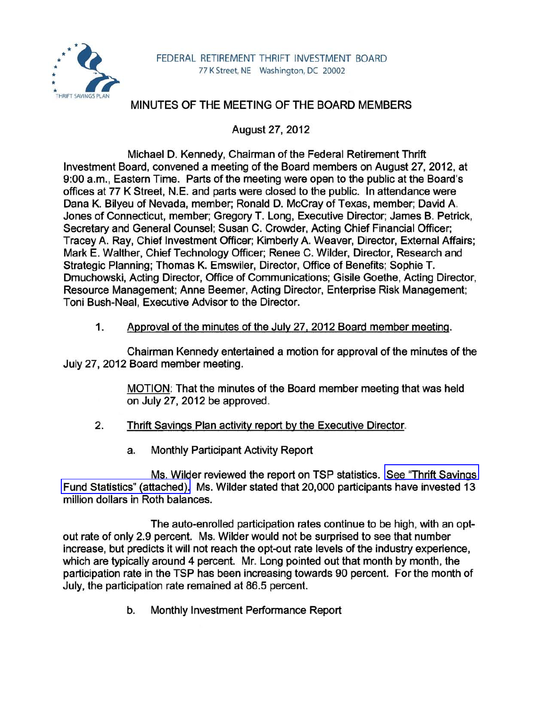

## MINUTES OF THE MEETING OF THE BOARD MEMBERS

August 27,2012

Michael D. Kennedy, Chairman of the Federal Retirement Thrift Investment Board, convened a meeting of the Board members on August 27, 2012, at 9:00 a.m., Eastern Time. Parts of the meeting were open to the public at the Board's offices at 77 K Street, N.E. and parts were closed to the public. In attendance were Dana K. Bilyeu of Nevada, member; Ronald D. McCray of Texas, member; David A. Jones of Connecticut, member; Gregory T. Long, Executive Director; James B. Petrick, Secretary and General Counsel; Susan C. Crowder, Acting Chief Financial Officer; Tracey A. Ray, Chief Investment Officer; Kimberly A. Weaver, Director, External Affairs; Mark E. Walther, Chief Technology Officer; Renee C. Wilder, Director, Research and Strategic Planning; Thomas K. Emswiler, Director, Office of Benefits; Sophie T. Dmuchowski, Acting Director, Office of Communications; Gisile Goethe, Acting Director, Resource Management; Anne Beemer, Acting Director, Enterprise Risk Management; Toni Bush-Neal, Executive Advisor to the Director.

## 1. Approval of the minutes of the July 27, 2012 Board member meeting.

Chairman Kennedy entertained a motion for approval of the minutes of the July 27,2012 Board member meeting.

> MOTION: That the minutes of the Board member meeting that was held on July 27,2012 be approved.

- 2. Thrift Savings Plan activity report by the Executive Director.
	- a. Monthly Participant Activity Report

Ms. Wilder reviewed the report on TSP statistics. [See "Thrift Savings](www.frtib.gov/pdf/minutes/MM-2012Aug-Att1.pdf)  [Fund Statistics" \(attached\).](www.frtib.gov/pdf/minutes/MM-2012Aug-Att1.pdf) Ms. Wilder stated that 20,000 participants have invested 13 million dollars in Roth balances.

The auto-enrolled participation rates continue to be high, with an optout rate of only 2.9 percent. Ms. Wilder would not be surprised to see that number increase, but predicts it will not reach the opt-out rate levels of the industry experience, which are typically around 4 percent. Mr. Long pointed out that month by month, the participation rate in the TSP has been increasing towards 90 percent. For the month of July, the participation rate remained at 86.5 percent.

b. Monthly Investment Performance Report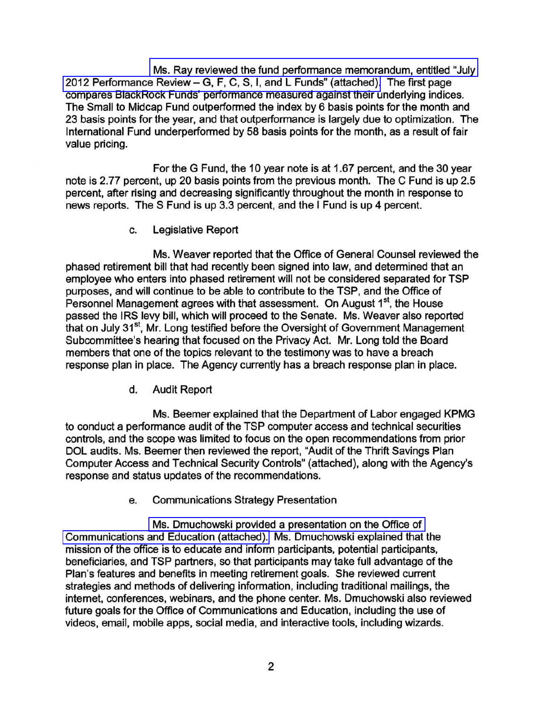[Ms. Ray reviewed the fund performance memorandum, entitled "July](http://www.frtib.gov/pdf/minutes/MM-2012Aug-Att2.pdf)  2012 Performance Review - [G, F, C, S, I, and L Funds" \(attached\).](http://www.frtib.gov/pdf/minutes/MM-2012Aug-Att2.pdf) The first page compares BlackRock Funds' performance measured against their underlying indices. The Small to Midcap Fund outperformed the index by 6 basis points for the month and 23 basis points for the year, and that outperformance is largely due to optimization. The International Fund underperformed by 58 basis points for the month, as a result of fair value pricing.

For the G Fund, the 10 year note is at 1.67 percent, and the 30 year note is 2.77 percent, up 20 basis points from the previous month. The C Fund is up 2.5 percent, after rising and decreasing Significantly throughout the month in response to news reports. The S Fund is up 3.3 percent, and the I Fund is up 4 percent.

c. Legislative Report

Ms. Weaver reported that the Office of General Counsel reviewed the phased retirement bill that had recently been signed into law, and determined that an employee who enters into phased retirement will not be considered separated for TSP purposes, and will continue to be able to contribute to the TSP, and the Office of Personnel Management agrees with that assessment. On August 1<sup>st</sup>, the House passed the IRS levy bill, which will proceed to the Senate. Ms. Weaver also reported that on July 31<sup>st</sup>, Mr. Long testified before the Oversight of Government Management Subcommittee's hearing that focused on the Privacy Act. Mr. Long told the Board members that one of the topics relevant to the testimony was to have a breach response plan in place. The Agency currently has a breach response plan in place.

d. Audit Report

Ms. Beemer explained that the Department of Labor engaged KPMG to conduct a performance audit of the TSP computer access and technical securities controls, and the scope was limited to focus on the open recommendations from prior DOL audits. Ms. Beemer then reviewed the report, "Audit of the Thrift Savings Plan Computer Access and Technical Security Controls" (attached), along with the Agency's response and status updates of the recommendations.

e. Communications Strategy Presentation

[Ms. Dmuchowski provided a presentation on the Office of](http://www.frtib.gov/pdf/minutes/MM-2012Aug-Att4.pdf)  [Communications and Education \(attached\).](http://www.frtib.gov/pdf/minutes/MM-2012Aug-Att4.pdf) Ms. Dmuchowski explained that the mission of the office is to educate and inform participants, potential participants, beneficiaries, and TSP partners, so that participants may take full advantage of the Plan's features and benefits in meeting retirement goals. She reviewed current strategies and methods of delivering information, including traditional mailings, the internet, conferences, webinars, and the phone center. Ms. Dmuchowski also reviewed future goals for the Office of Communications and Education, including the use of videos, email, mobile apps, social media, and interactive tools, including wizards.